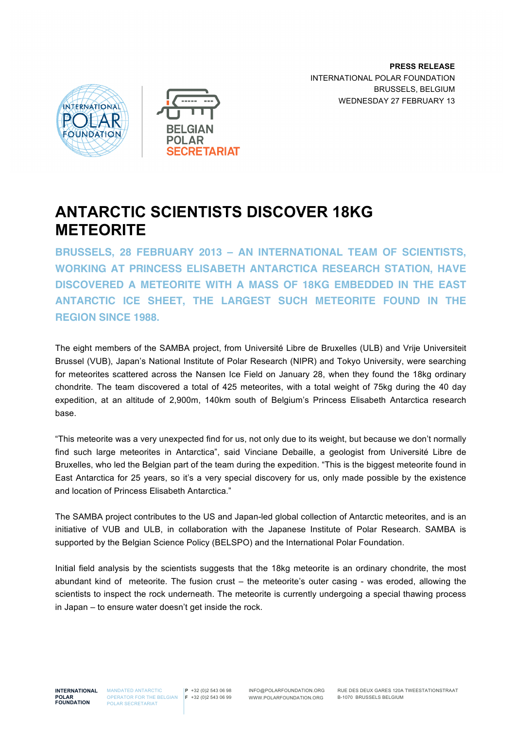**PRESS RELEASE** INTERNATIONAL POLAR FOUNDATION BRUSSELS, BELGIUM WEDNESDAY 27 FEBRUARY 13





# **ANTARCTIC SCIENTISTS DISCOVER 18KG METEORITE**

**BRUSSELS, 28 FEBRUARY 2013 – AN INTERNATIONAL TEAM OF SCIENTISTS, WORKING AT PRINCESS ELISABETH ANTARCTICA RESEARCH STATION, HAVE DISCOVERED A METEORITE WITH A MASS OF 18KG EMBEDDED IN THE EAST ANTARCTIC ICE SHEET, THE LARGEST SUCH METEORITE FOUND IN THE REGION SINCE 1988.**

The eight members of the SAMBA project, from Université Libre de Bruxelles (ULB) and Vrije Universiteit Brussel (VUB), Japan's National Institute of Polar Research (NIPR) and Tokyo University, were searching for meteorites scattered across the Nansen Ice Field on January 28, when they found the 18kg ordinary chondrite. The team discovered a total of 425 meteorites, with a total weight of 75kg during the 40 day expedition, at an altitude of 2,900m, 140km south of Belgium's Princess Elisabeth Antarctica research base.

"This meteorite was a very unexpected find for us, not only due to its weight, but because we don't normally find such large meteorites in Antarctica", said Vinciane Debaille, a geologist from Université Libre de Bruxelles, who led the Belgian part of the team during the expedition. "This is the biggest meteorite found in East Antarctica for 25 years, so it's a very special discovery for us, only made possible by the existence and location of Princess Elisabeth Antarctica."

The SAMBA project contributes to the US and Japan-led global collection of Antarctic meteorites, and is an initiative of VUB and ULB, in collaboration with the Japanese Institute of Polar Research. SAMBA is supported by the Belgian Science Policy (BELSPO) and the International Polar Foundation.

Initial field analysis by the scientists suggests that the 18kg meteorite is an ordinary chondrite, the most abundant kind of meteorite. The fusion crust – the meteorite's outer casing - was eroded, allowing the scientists to inspect the rock underneath. The meteorite is currently undergoing a special thawing process in Japan – to ensure water doesn't get inside the rock.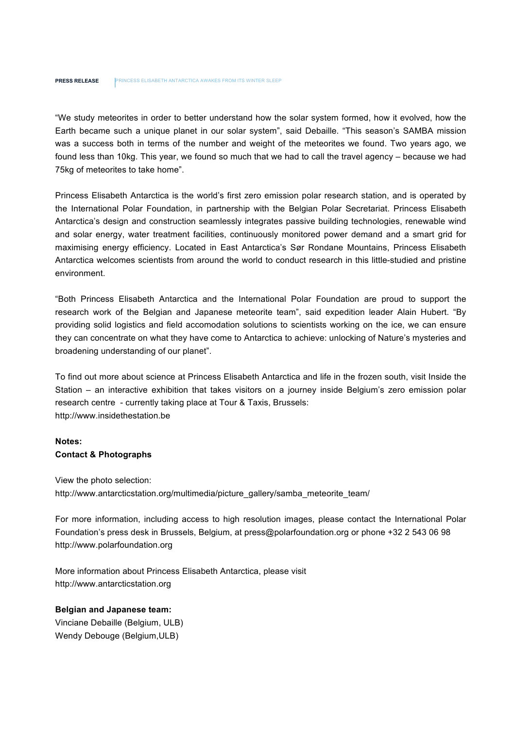"We study meteorites in order to better understand how the solar system formed, how it evolved, how the Earth became such a unique planet in our solar system", said Debaille. "This season's SAMBA mission was a success both in terms of the number and weight of the meteorites we found. Two years ago, we found less than 10kg. This year, we found so much that we had to call the travel agency – because we had 75kg of meteorites to take home".

Princess Elisabeth Antarctica is the world's first zero emission polar research station, and is operated by the International Polar Foundation, in partnership with the Belgian Polar Secretariat. Princess Elisabeth Antarctica's design and construction seamlessly integrates passive building technologies, renewable wind and solar energy, water treatment facilities, continuously monitored power demand and a smart grid for maximising energy efficiency. Located in East Antarctica's Sør Rondane Mountains, Princess Elisabeth Antarctica welcomes scientists from around the world to conduct research in this little-studied and pristine environment.

"Both Princess Elisabeth Antarctica and the International Polar Foundation are proud to support the research work of the Belgian and Japanese meteorite team", said expedition leader Alain Hubert. "By providing solid logistics and field accomodation solutions to scientists working on the ice, we can ensure they can concentrate on what they have come to Antarctica to achieve: unlocking of Nature's mysteries and broadening understanding of our planet".

To find out more about science at Princess Elisabeth Antarctica and life in the frozen south, visit Inside the Station – an interactive exhibition that takes visitors on a journey inside Belgium's zero emission polar research centre - currently taking place at Tour & Taxis, Brussels: http://www.insidethestation.be

## **Notes: Contact & Photographs**

View the photo selection: http://www.antarcticstation.org/multimedia/picture\_gallery/samba\_meteorite\_team/

For more information, including access to high resolution images, please contact the International Polar Foundation's press desk in Brussels, Belgium, at press@polarfoundation.org or phone +32 2 543 06 98 http://www.polarfoundation.org

More information about Princess Elisabeth Antarctica, please visit http://www.antarcticstation.org

#### **Belgian and Japanese team:**

Vinciane Debaille (Belgium, ULB) Wendy Debouge (Belgium,ULB)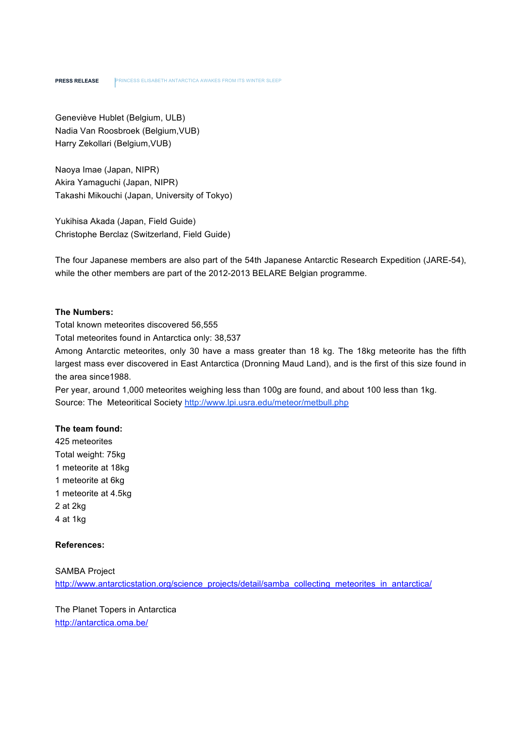Geneviève Hublet (Belgium, ULB) Nadia Van Roosbroek (Belgium,VUB) Harry Zekollari (Belgium,VUB)

Naoya Imae (Japan, NIPR) Akira Yamaguchi (Japan, NIPR) Takashi Mikouchi (Japan, University of Tokyo)

Yukihisa Akada (Japan, Field Guide) Christophe Berclaz (Switzerland, Field Guide)

The four Japanese members are also part of the 54th Japanese Antarctic Research Expedition (JARE-54), while the other members are part of the 2012-2013 BELARE Belgian programme.

## **The Numbers:**

Total known meteorites discovered 56,555

Total meteorites found in Antarctica only: 38,537

Among Antarctic meteorites, only 30 have a mass greater than 18 kg. The 18kg meteorite has the fifth largest mass ever discovered in East Antarctica (Dronning Maud Land), and is the first of this size found in the area since1988.

Per year, around 1,000 meteorites weighing less than 100g are found, and about 100 less than 1kg. Source: The Meteoritical Society http://www.lpi.usra.edu/meteor/metbull.php

#### **The team found:**

425 meteorites Total weight: 75kg 1 meteorite at 18kg 1 meteorite at 6kg 1 meteorite at 4.5kg 2 at 2kg 4 at 1kg

### **References:**

SAMBA Project http://www.antarcticstation.org/science\_projects/detail/samba\_collecting\_meteorites\_in\_antarctica/

The Planet Topers in Antarctica http://antarctica.oma.be/